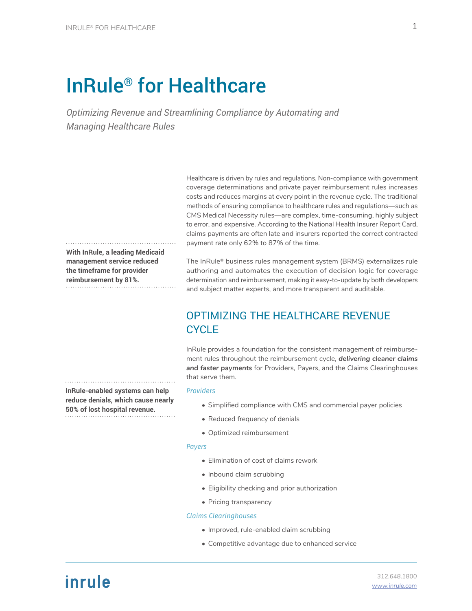# InRule® for Healthcare

*Optimizing Revenue and Streamlining Compliance by Automating and Managing Healthcare Rules*

> Healthcare is driven by rules and regulations. Non-compliance with government coverage determinations and private payer reimbursement rules increases costs and reduces margins at every point in the revenue cycle. The traditional methods of ensuring compliance to healthcare rules and regulations—such as CMS Medical Necessity rules—are complex, time-consuming, highly subject to error, and expensive. According to the National Health Insurer Report Card, claims payments are often late and insurers reported the correct contracted payment rate only 62% to 87% of the time.

**With InRule, a leading Medicaid management service reduced the timeframe for provider reimbursement by 81%.**

The InRule® business rules management system (BRMS) externalizes rule authoring and automates the execution of decision logic for coverage determination and reimbursement, making it easy-to-update by both developers and subject matter experts, and more transparent and auditable.

## OPTIMIZING THE HEALTHCARE REVENUE **CYCLE**

InRule provides a foundation for the consistent management of reimbursement rules throughout the reimbursement cycle, *delivering cleaner claims and faster payments* for Providers, Payers, and the Claims Clearinghouses that serve them.

#### *Providers*

- Simplified compliance with CMS and commercial payer policies
- Reduced frequency of denials
- Optimized reimbursement

#### *Payers*

- Elimination of cost of claims rework
- Inbound claim scrubbing
- Eligibility checking and prior authorization
- Pricing transparency

#### *Claims Clearinghouses*

- Improved, rule-enabled claim scrubbing
- Competitive advantage due to enhanced service

**InRule-enabled systems can help reduce denials, which cause nearly 50% of lost hospital revenue.**

# inrule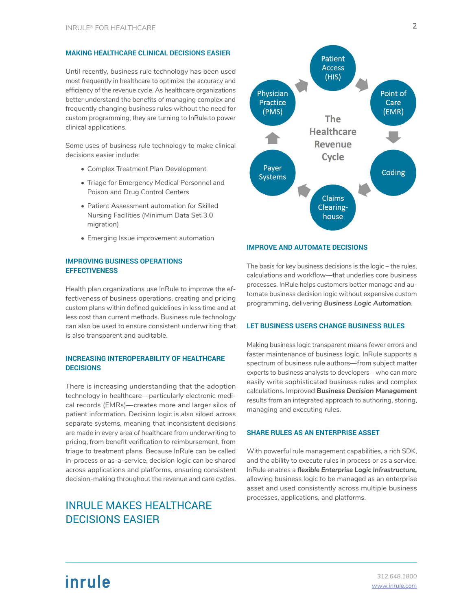#### **MAKING HEALTHCARE CLINICAL DECISIONS EASIER**

Until recently, business rule technology has been used most frequently in healthcare to optimize the accuracy and efficiency of the revenue cycle. As healthcare organizations better understand the benefits of managing complex and frequently changing business rules without the need for custom programming, they are turning to InRule to power clinical applications.

Some uses of business rule technology to make clinical decisions easier include:

- Complex Treatment Plan Development
- Triage for Emergency Medical Personnel and Poison and Drug Control Centers
- Patient Assessment automation for Skilled Nursing Facilities (Minimum Data Set 3.0 migration)
- Emerging Issue improvement automation

#### **IMPROVING BUSINESS OPERATIONS EFFECTIVENESS**

Health plan organizations use InRule to improve the effectiveness of business operations, creating and pricing custom plans within defined guidelines in less time and at less cost than current methods. Business rule technology can also be used to ensure consistent underwriting that is also transparent and auditable.

#### **INCREASING INTEROPERABILITY OF HEALTHCARE DECISIONS**

There is increasing understanding that the adoption technology in healthcare—particularly electronic medical records (EMRs)—creates more and larger silos of patient information. Decision logic is also siloed across separate systems, meaning that inconsistent decisions are made in every area of healthcare from underwriting to pricing, from benefit verification to reimbursement, from triage to treatment plans. Because InRule can be called in-process or as-a-service, decision logic can be shared across applications and platforms, ensuring consistent decision-making throughout the revenue and care cycles.

## INRULE MAKES HEALTHCARE DECISIONS EASIER



#### **IMPROVE AND AUTOMATE DECISIONS**

The basis for key business decisions is the logic – the rules, calculations and workflow—that underlies core business processes. InRule helps customers better manage and automate business decision logic without expensive custom programming, delivering *Business Logic Automation*.

#### **LET BUSINESS USERS CHANGE BUSINESS RULES**

Making business logic transparent means fewer errors and faster maintenance of business logic. InRule supports a spectrum of business rule authors—from subject matter experts to business analysts to developers – who can more easily write sophisticated business rules and complex calculations. Improved *Business Decision Management* results from an integrated approach to authoring, storing, managing and executing rules.

#### **SHARE RULES AS AN ENTERPRISE ASSET**

With powerful rule management capabilities, a rich SDK, and the ability to execute rules in process or as a service, InRule enables a *flexible Enterprise Logic Infrastructure,* allowing business logic to be managed as an enterprise asset and used consistently across multiple business processes, applications, and platforms.

# inrule